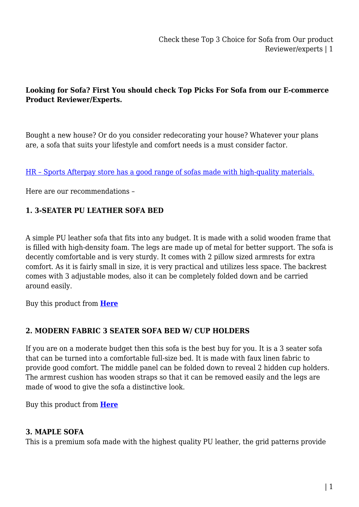## **Looking for Sofa? First You should check Top Picks For Sofa from our E-commerce Product Reviewer/Experts.**

Bought a new house? Or do you consider redecorating your house? Whatever your plans are, a sofa that suits your lifestyle and comfort needs is a must consider factor.

[HR – Sports Afterpay store has a good range of sofas made with high-quality materials.](https://www.hr-sports.com.au/furniture/sofas-sofa-bed/)

Here are our recommendations –

## **1. 3-SEATER PU LEATHER SOFA BED**

A simple PU leather sofa that fits into any budget. It is made with a solid wooden frame that is filled with high-density foam. The legs are made up of metal for better support. The sofa is decently comfortable and is very sturdy. It comes with 2 pillow sized armrests for extra comfort. As it is fairly small in size, it is very practical and utilizes less space. The backrest comes with 3 adjustable modes, also it can be completely folded down and be carried around easily.

Buy this product from **[Here](https://www.hr-sports.com.au/furniture/sofas-sofa-bed/)**

## **2. MODERN FABRIC 3 SEATER SOFA BED W/ CUP HOLDERS**

If you are on a moderate budget then this sofa is the best buy for you. It is a 3 seater sofa that can be turned into a comfortable full-size bed. It is made with faux linen fabric to provide good comfort. The middle panel can be folded down to reveal 2 hidden cup holders. The armrest cushion has wooden straps so that it can be removed easily and the legs are made of wood to give the sofa a distinctive look.

Buy this product from **[Here](https://www.hr-sports.com.au/3-seater-linen-fabric-sofa-bed-w-2-cup-holder-grey)**

## **3. MAPLE SOFA**

This is a premium sofa made with the highest quality PU leather, the grid patterns provide